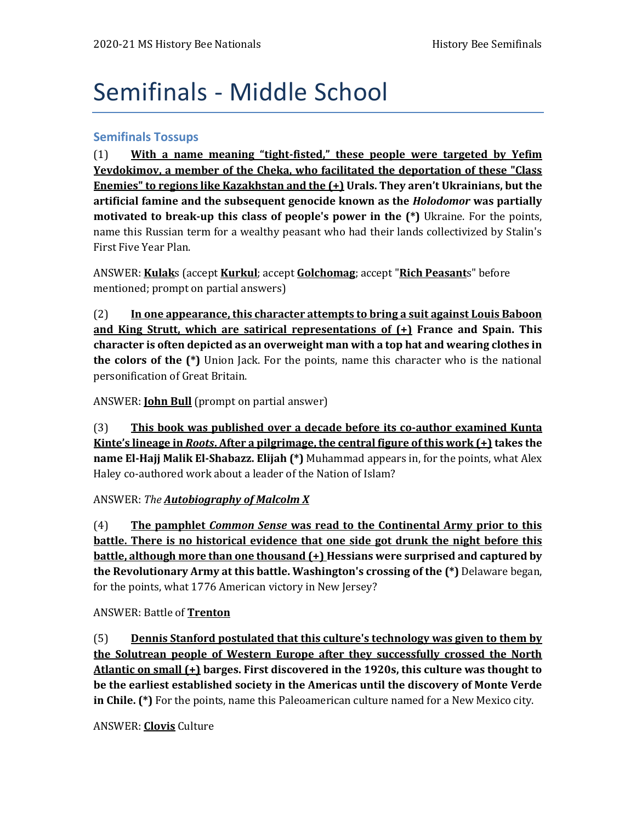# Semifinals - Middle School

### **Semifinals Tossups**

(1) **With a name meaning "tight-fisted," these people were targeted by Yefim Yevdokimov, a member of the Cheka, who facilitated the deportation of these "Class Enemies" to regions like Kazakhstan and the (+) Urals. They aren't Ukrainians, but the artificial famine and the subsequent genocide known as the** *Holodomor* **was partially motivated to break-up this class of people's power in the (\*)** Ukraine. For the points, name this Russian term for a wealthy peasant who had their lands collectivized by Stalin's First Five Year Plan.

ANSWER: **Kulak**s (accept **Kurkul**; accept **Golchomag**; accept "**Rich Peasant**s" before mentioned; prompt on partial answers)

(2) **In one appearance, this character attempts to bring a suit against Louis Baboon and King Strutt, which are satirical representations of (+) France and Spain. This character is often depicted as an overweight man with a top hat and wearing clothes in the colors of the (\*)** Union Jack. For the points, name this character who is the national personification of Great Britain.

ANSWER: **John Bull** (prompt on partial answer)

(3) **This book was published over a decade before its co-author examined Kunta Kinte's lineage in** *Roots***. After a pilgrimage, the central figure of this work (+) takes the name El-Hajj Malik El-Shabazz. Elijah (\*)** Muhammad appears in, for the points, what Alex Haley co-authored work about a leader of the Nation of Islam?

#### ANSWER: *The Autobiography of Malcolm X*

(4) **The pamphlet** *Common Sense* **was read to the Continental Army prior to this battle. There is no historical evidence that one side got drunk the night before this battle, although more than one thousand (+) Hessians were surprised and captured by the Revolutionary Army at this battle. Washington's crossing of the (\*)** Delaware began, for the points, what 1776 American victory in New Jersey?

#### ANSWER: Battle of **Trenton**

(5) **Dennis Stanford postulated that this culture's technology was given to them by the Solutrean people of Western Europe after they successfully crossed the North Atlantic on small (+) barges. First discovered in the 1920s, this culture was thought to be the earliest established society in the Americas until the discovery of Monte Verde in Chile. (\*)** For the points, name this Paleoamerican culture named for a New Mexico city.

## ANSWER: **Clovis** Culture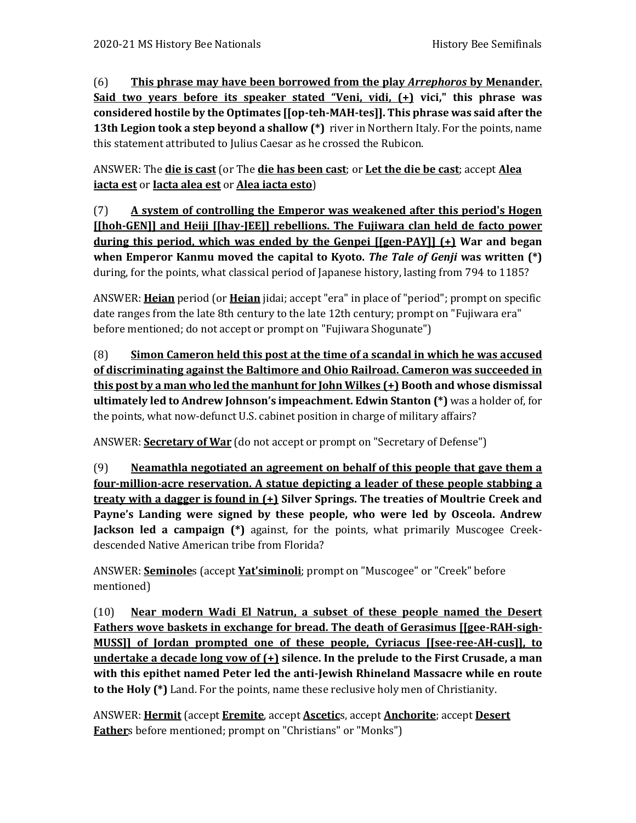(6) **This phrase may have been borrowed from the play** *Arrephoros* **by Menander. Said two years before its speaker stated "Veni, vidi, (+) vici," this phrase was considered hostile by the Optimates [[op-teh-MAH-tes]]. This phrase was said after the 13th Legion took a step beyond a shallow (\*)** river in Northern Italy. For the points, name this statement attributed to Julius Caesar as he crossed the Rubicon.

ANSWER: The **die is cast** (or The **die has been cast**; or **Let the die be cast**; accept **Alea iacta est** or **Iacta alea est** or **Alea iacta esto**)

(7) **A system of controlling the Emperor was weakened after this period's Hogen [[hoh-GEN]] and Heiji [[hay-JEE]] rebellions. The Fujiwara clan held de facto power during this period, which was ended by the Genpei [[gen-PAY]] (+) War and began when Emperor Kanmu moved the capital to Kyoto.** *The Tale of Genji* **was written (\*)**  during, for the points, what classical period of Japanese history, lasting from 794 to 1185?

ANSWER: **Heian** period (or **Heian** jidai; accept "era" in place of "period"; prompt on specific date ranges from the late 8th century to the late 12th century; prompt on "Fujiwara era" before mentioned; do not accept or prompt on "Fujiwara Shogunate")

(8) **Simon Cameron held this post at the time of a scandal in which he was accused of discriminating against the Baltimore and Ohio Railroad. Cameron was succeeded in this post by a man who led the manhunt for John Wilkes (+) Booth and whose dismissal ultimately led to Andrew Johnson's impeachment. Edwin Stanton (\*)** was a holder of, for the points, what now-defunct U.S. cabinet position in charge of military affairs?

ANSWER: **Secretary of War** (do not accept or prompt on "Secretary of Defense")

(9) **Neamathla negotiated an agreement on behalf of this people that gave them a four-million-acre reservation. A statue depicting a leader of these people stabbing a treaty with a dagger is found in (+) Silver Springs. The treaties of Moultrie Creek and Payne's Landing were signed by these people, who were led by Osceola. Andrew Jackson led a campaign (\*)** against, for the points, what primarily Muscogee Creekdescended Native American tribe from Florida?

ANSWER: **Seminole**s (accept **Yat'siminoli**; prompt on "Muscogee" or "Creek" before mentioned)

(10) **Near modern Wadi El Natrun, a subset of these people named the Desert Fathers wove baskets in exchange for bread. The death of Gerasimus [[gee-RAH-sigh-MUSS]] of Jordan prompted one of these people, Cyriacus [[see-ree-AH-cus]], to undertake a decade long vow of (+) silence. In the prelude to the First Crusade, a man with this epithet named Peter led the anti-Jewish Rhineland Massacre while en route to the Holy (\*)** Land. For the points, name these reclusive holy men of Christianity.

ANSWER: **Hermit** (accept **Eremite**, accept **Ascetic**s, accept **Anchorite**; accept **Desert Father**s before mentioned; prompt on "Christians" or "Monks")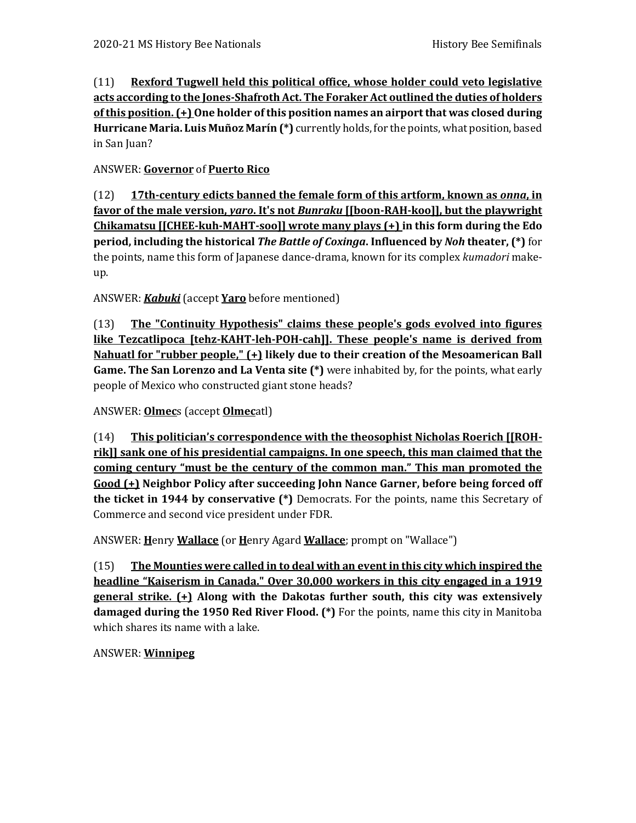(11) **Rexford Tugwell held this political office, whose holder could veto legislative acts according to the Jones-Shafroth Act. The Foraker Act outlined the duties of holders of this position. (+) One holder of this position names an airport that was closed during Hurricane Maria. Luis Muñoz Marín (\*)** currently holds, for the points, what position, based in San Juan?

# ANSWER: **Governor** of **Puerto Rico**

(12) **17th-century edicts banned the female form of this artform, known as** *onna***, in favor of the male version,** *yaro***. It's not** *Bunraku* **[[boon-RAH-koo]], but the playwright Chikamatsu [[CHEE-kuh-MAHT-soo]] wrote many plays (+) in this form during the Edo period, including the historical** *The Battle of Coxinga***. Influenced by** *Noh* **theater, (\*)** for the points, name this form of Japanese dance-drama, known for its complex *kumadori* makeup.

ANSWER: *Kabuki* (accept **Yaro** before mentioned)

(13) **The "Continuity Hypothesis" claims these people's gods evolved into figures like Tezcatlipoca [tehz-KAHT-leh-POH-cah]]. These people's name is derived from Nahuatl for "rubber people," (+) likely due to their creation of the Mesoamerican Ball Game. The San Lorenzo and La Venta site (\*)** were inhabited by, for the points, what early people of Mexico who constructed giant stone heads?

ANSWER: **Olmec**s (accept **Olmec**atl)

(14) **This politician's correspondence with the theosophist Nicholas Roerich [[ROHrik]] sank one of his presidential campaigns. In one speech, this man claimed that the coming century "must be the century of the common man." This man promoted the Good (+) Neighbor Policy after succeeding John Nance Garner, before being forced off the ticket in 1944 by conservative (\*)** Democrats. For the points, name this Secretary of Commerce and second vice president under FDR.

ANSWER: **H**enry **Wallace** (or **H**enry Agard **Wallace**; prompt on "Wallace")

(15) **The Mounties were called in to deal with an event in this city which inspired the headline "Kaiserism in Canada." Over 30,000 workers in this city engaged in a 1919 general strike. (+) Along with the Dakotas further south, this city was extensively damaged during the 1950 Red River Flood. (\*)** For the points, name this city in Manitoba which shares its name with a lake.

ANSWER: **Winnipeg**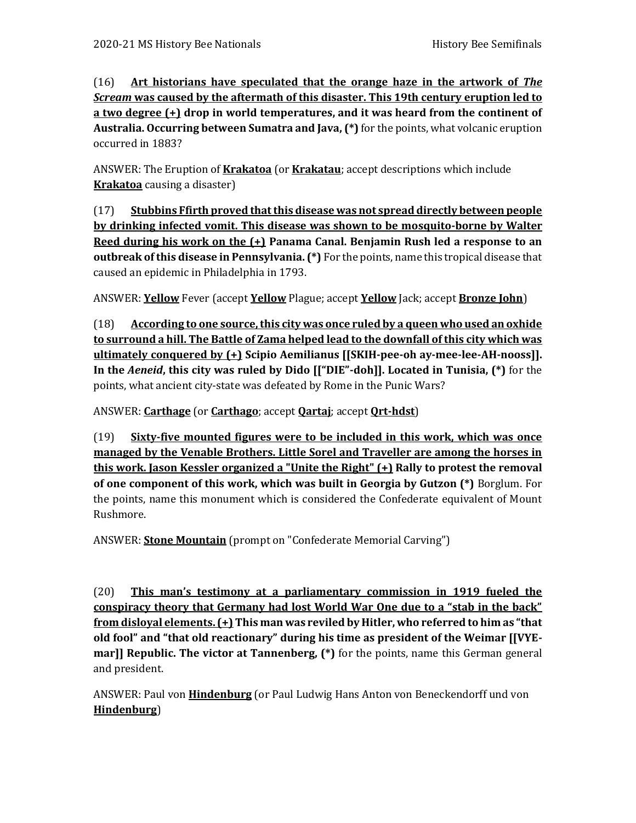(16) **Art historians have speculated that the orange haze in the artwork of** *The Scream* **was caused by the aftermath of this disaster. This 19th century eruption led to a two degree (+) drop in world temperatures, and it was heard from the continent of Australia. Occurring between Sumatra and Java, (\*)** for the points, what volcanic eruption occurred in 1883?

ANSWER: The Eruption of **Krakatoa** (or **Krakatau**; accept descriptions which include **Krakatoa** causing a disaster)

(17) **Stubbins Ffirth proved that this disease was not spread directly between people by drinking infected vomit. This disease was shown to be mosquito-borne by Walter Reed during his work on the (+) Panama Canal. Benjamin Rush led a response to an outbreak of this disease in Pennsylvania. (\*)** For the points, name this tropical disease that caused an epidemic in Philadelphia in 1793.

ANSWER: **Yellow** Fever (accept **Yellow** Plague; accept **Yellow** Jack; accept **Bronze John**)

(18) **According to one source, this city was once ruled by a queen who used an oxhide to surround a hill. The Battle of Zama helped lead to the downfall of this city which was ultimately conquered by (+) Scipio Aemilianus [[SKIH-pee-oh ay-mee-lee-AH-nooss]]. In the** *Aeneid***, this city was ruled by Dido [["DIE"-doh]]. Located in Tunisia, (\*)** for the points, what ancient city-state was defeated by Rome in the Punic Wars?

ANSWER: **Carthage** (or **Carthago**; accept **Qartaj**; accept **Qrt-hdst**)

(19) **Sixty-five mounted figures were to be included in this work, which was once managed by the Venable Brothers. Little Sorel and Traveller are among the horses in this work. Jason Kessler organized a "Unite the Right" (+) Rally to protest the removal of one component of this work, which was built in Georgia by Gutzon (\*)** Borglum. For the points, name this monument which is considered the Confederate equivalent of Mount Rushmore.

ANSWER: **Stone Mountain** (prompt on "Confederate Memorial Carving")

(20) **This man's testimony at a parliamentary commission in 1919 fueled the conspiracy theory that Germany had lost World War One due to a "stab in the back" from disloyal elements. (+) This man was reviled by Hitler, who referred to him as "that old fool" and "that old reactionary" during his time as president of the Weimar [[VYEmar]] Republic. The victor at Tannenberg, (\*)** for the points, name this German general and president.

ANSWER: Paul von **Hindenburg** (or Paul Ludwig Hans Anton von Beneckendorff und von **Hindenburg**)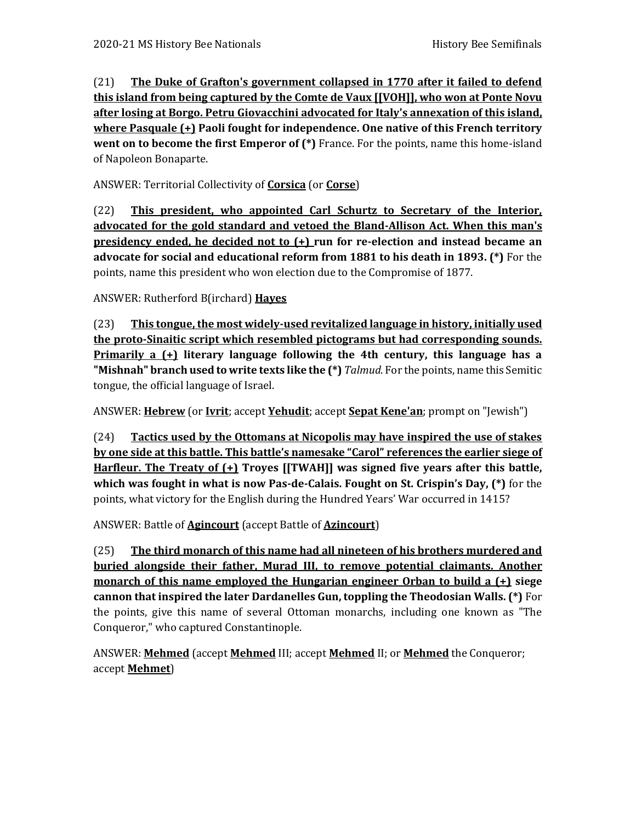(21) **The Duke of Grafton's government collapsed in 1770 after it failed to defend this island from being captured by the Comte de Vaux [[VOH]], who won at Ponte Novu after losing at Borgo. Petru Giovacchini advocated for Italy's annexation of this island, where Pasquale (+) Paoli fought for independence. One native of this French territory went on to become the first Emperor of (\*)** France. For the points, name this home-island of Napoleon Bonaparte.

ANSWER: Territorial Collectivity of **Corsica** (or **Corse**)

(22) **This president, who appointed Carl Schurtz to Secretary of the Interior, advocated for the gold standard and vetoed the Bland-Allison Act. When this man's presidency ended, he decided not to (+) run for re-election and instead became an advocate for social and educational reform from 1881 to his death in 1893. (\*)** For the points, name this president who won election due to the Compromise of 1877.

ANSWER: Rutherford B(irchard) **Hayes**

(23) **This tongue, the most widely-used revitalized language in history, initially used the proto-Sinaitic script which resembled pictograms but had corresponding sounds. Primarily a (+) literary language following the 4th century, this language has a "Mishnah" branch used to write texts like the (\*)** *Talmud*. For the points, name this Semitic tongue, the official language of Israel.

ANSWER: **Hebrew** (or **Ivrit**; accept **Yehudit**; accept **Sepat Kene'an**; prompt on "Jewish")

(24) **Tactics used by the Ottomans at Nicopolis may have inspired the use of stakes by one side at this battle. This battle's namesake "Carol" references the earlier siege of Harfleur. The Treaty of (+) Troyes [[TWAH]] was signed five years after this battle, which was fought in what is now Pas-de-Calais. Fought on St. Crispin's Day, (\*)** for the points, what victory for the English during the Hundred Years' War occurred in 1415?

ANSWER: Battle of **Agincourt** (accept Battle of **Azincourt**)

(25) **The third monarch of this name had all nineteen of his brothers murdered and buried alongside their father, Murad III, to remove potential claimants. Another monarch of this name employed the Hungarian engineer Orban to build a (+) siege cannon that inspired the later Dardanelles Gun, toppling the Theodosian Walls. (\*)** For the points, give this name of several Ottoman monarchs, including one known as "The Conqueror," who captured Constantinople.

ANSWER: **Mehmed** (accept **Mehmed** III; accept **Mehmed** II; or **Mehmed** the Conqueror; accept **Mehmet**)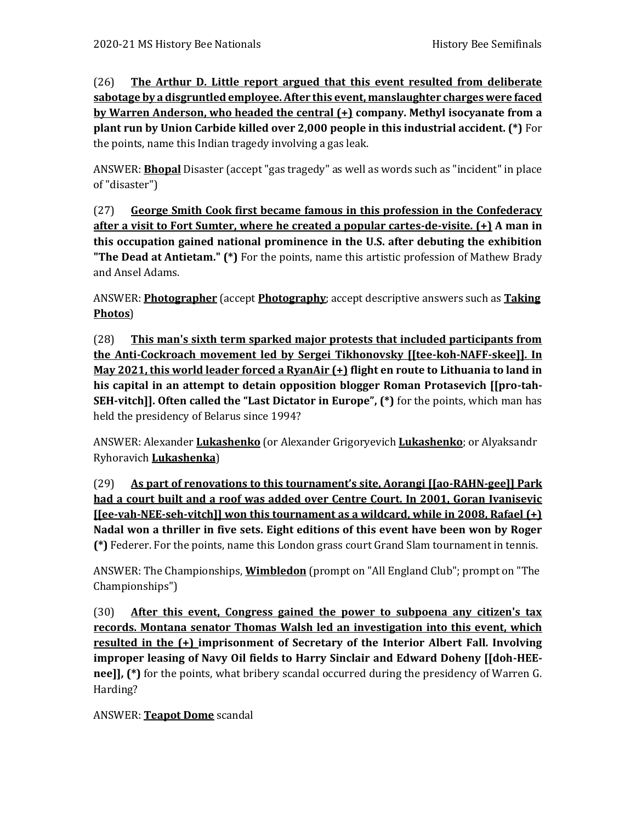(26) **The Arthur D. Little report argued that this event resulted from deliberate sabotage by a disgruntled employee. After this event, manslaughter charges were faced by Warren Anderson, who headed the central (+) company. Methyl isocyanate from a plant run by Union Carbide killed over 2,000 people in this industrial accident. (\*)** For the points, name this Indian tragedy involving a gas leak.

ANSWER: **Bhopal** Disaster (accept "gas tragedy" as well as words such as "incident" in place of "disaster")

(27) **George Smith Cook first became famous in this profession in the Confederacy after a visit to Fort Sumter, where he created a popular cartes-de-visite. (+) A man in this occupation gained national prominence in the U.S. after debuting the exhibition "The Dead at Antietam." (\*)** For the points, name this artistic profession of Mathew Brady and Ansel Adams.

ANSWER: **Photographer** (accept **Photography**; accept descriptive answers such as **Taking Photos**)

(28) **This man's sixth term sparked major protests that included participants from the Anti-Cockroach movement led by Sergei Tikhonovsky [[tee-koh-NAFF-skee]]. In May 2021, this world leader forced a RyanAir (+) flight en route to Lithuania to land in his capital in an attempt to detain opposition blogger Roman Protasevich [[pro-tah-SEH-vitch]]. Often called the "Last Dictator in Europe", (\*)** for the points, which man has held the presidency of Belarus since 1994?

ANSWER: Alexander **Lukashenko** (or Alexander Grigoryevich **Lukashenko**; or Alyaksandr Ryhoravich **Lukashenka**)

(29) **As part of renovations to this tournament's site, Aorangi [[ao-RAHN-gee]] Park had a court built and a roof was added over Centre Court. In 2001, Goran Ivanisevic [[ee-vah-NEE-seh-vitch]] won this tournament as a wildcard, while in 2008, Rafael (+) Nadal won a thriller in five sets. Eight editions of this event have been won by Roger (\*)** Federer. For the points, name this London grass court Grand Slam tournament in tennis.

ANSWER: The Championships, **Wimbledon** (prompt on "All England Club"; prompt on "The Championships")

(30) **After this event, Congress gained the power to subpoena any citizen's tax records. Montana senator Thomas Walsh led an investigation into this event, which resulted in the (+) imprisonment of Secretary of the Interior Albert Fall. Involving improper leasing of Navy Oil fields to Harry Sinclair and Edward Doheny [[doh-HEEnee]], (\*)** for the points, what bribery scandal occurred during the presidency of Warren G. Harding?

ANSWER: **Teapot Dome** scandal